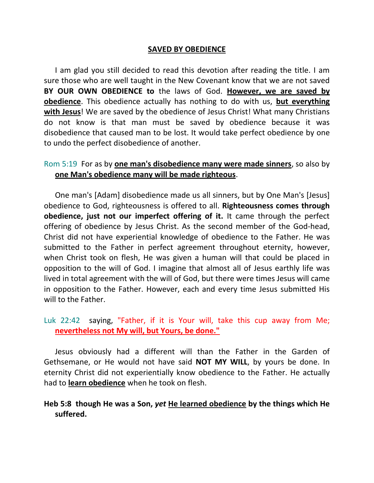#### **SAVED BY OBEDIENCE**

I am glad you still decided to read this devotion after reading the title. I am sure those who are well taught in the New Covenant know that we are not saved **BY OUR OWN OBEDIENCE to** the laws of God. **However, we are saved by obedience**. This obedience actually has nothing to do with us, **but everything with Jesus**! We are saved by the obedience of Jesus Christ! What many Christians do not know is that man must be saved by obedience because it was disobedience that caused man to be lost. It would take perfect obedience by one to undo the perfect disobedience of another.

#### Rom 5:19 For as by **one man's disobedience many were made sinners**, so also by **one Man's obedience many will be made righteous**.

One man's [Adam] disobedience made us all sinners, but by One Man's [Jesus] obedience to God, righteousness is offered to all. **Righteousness comes through obedience, just not our imperfect offering of it.** It came through the perfect offering of obedience by Jesus Christ. As the second member of the God-head, Christ did not have experiential knowledge of obedience to the Father. He was submitted to the Father in perfect agreement throughout eternity, however, when Christ took on flesh, He was given a human will that could be placed in opposition to the will of God. I imagine that almost all of Jesus earthly life was lived in total agreement with the will of God, but there were times Jesus will came in opposition to the Father. However, each and every time Jesus submitted His will to the Father.

Luk 22:42 saying, "Father, if it is Your will, take this cup away from Me; **nevertheless not My will, but Yours, be done."**

Jesus obviously had a different will than the Father in the Garden of Gethsemane, or He would not have said **NOT MY WILL**, by yours be done. In eternity Christ did not experientially know obedience to the Father. He actually had to **learn obedience** when he took on flesh.

### **Heb 5:8 though He was a Son,** *yet* **He learned obedience by the things which He suffered.**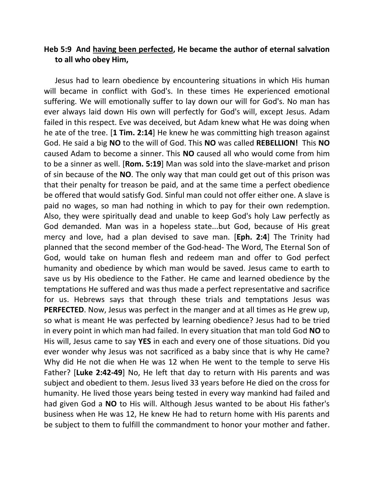### **Heb 5:9 And having been perfected, He became the author of eternal salvation to all who obey Him,**

Jesus had to learn obedience by encountering situations in which His human will became in conflict with God's. In these times He experienced emotional suffering. We will emotionally suffer to lay down our will for God's. No man has ever always laid down His own will perfectly for God's will, except Jesus. Adam failed in this respect. Eve was deceived, but Adam knew what He was doing when he ate of the tree. [**1 Tim. 2:14**] He knew he was committing high treason against God. He said a big **NO** to the will of God. This **NO** was called **REBELLION!** This **NO** caused Adam to become a sinner. This **NO** caused all who would come from him to be a sinner as well. [**Rom. 5:19**] Man was sold into the slave-market and prison of sin because of the **NO**. The only way that man could get out of this prison was that their penalty for treason be paid, and at the same time a perfect obedience be offered that would satisfy God. Sinful man could not offer either one. A slave is paid no wages, so man had nothing in which to pay for their own redemption. Also, they were spiritually dead and unable to keep God's holy Law perfectly as God demanded. Man was in a hopeless state...but God, because of His great mercy and love, had a plan devised to save man. [**Eph. 2:4**] The Trinity had planned that the second member of the God-head- The Word, The Eternal Son of God, would take on human flesh and redeem man and offer to God perfect humanity and obedience by which man would be saved. Jesus came to earth to save us by His obedience to the Father. He came and learned obedience by the temptations He suffered and was thus made a perfect representative and sacrifice for us. Hebrews says that through these trials and temptations Jesus was **PERFECTED**. Now, Jesus was perfect in the manger and at all times as He grew up, so what is meant He was perfected by learning obedience? Jesus had to be tried in every point in which man had failed. In every situation that man told God **NO** to His will, Jesus came to say **YES** in each and every one of those situations. Did you ever wonder why Jesus was not sacrificed as a baby since that is why He came? Why did He not die when He was 12 when He went to the temple to serve His Father? [**Luke 2:42-49**] No, He left that day to return with His parents and was subject and obedient to them. Jesus lived 33 years before He died on the cross for humanity. He lived those years being tested in every way mankind had failed and had given God a **NO** to His will. Although Jesus wanted to be about His father's business when He was 12, He knew He had to return home with His parents and be subject to them to fulfill the commandment to honor your mother and father.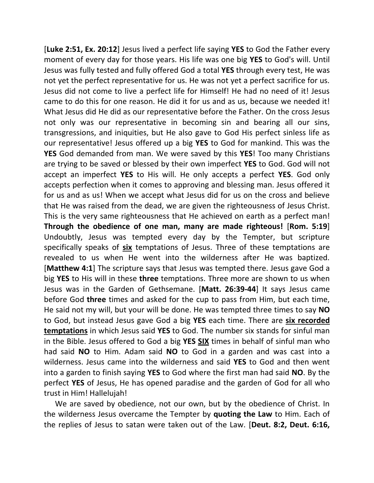[**Luke 2:51, Ex. 20:12**] Jesus lived a perfect life saying **YES** to God the Father every moment of every day for those years. His life was one big **YES** to God's will. Until Jesus was fully tested and fully offered God a total **YES** through every test, He was not yet the perfect representative for us. He was not yet a perfect sacrifice for us. Jesus did not come to live a perfect life for Himself! He had no need of it! Jesus came to do this for one reason. He did it for us and as us, because we needed it! What Jesus did He did as our representative before the Father. On the cross Jesus not only was our representative in becoming sin and bearing all our sins, transgressions, and iniquities, but He also gave to God His perfect sinless life as our representative! Jesus offered up a big **YES** to God for mankind. This was the **YES** God demanded from man. We were saved by this **YES**! Too many Christians are trying to be saved or blessed by their own imperfect **YES** to God. God will not accept an imperfect **YES** to His will. He only accepts a perfect **YES**. God only accepts perfection when it comes to approving and blessing man. Jesus offered it for us and as us! When we accept what Jesus did for us on the cross and believe that He was raised from the dead, we are given the righteousness of Jesus Christ. This is the very same righteousness that He achieved on earth as a perfect man! **Through the obedience of one man, many are made righteous!** [**Rom. 5:19**] Undoubtly, Jesus was tempted every day by the Tempter, but scripture specifically speaks of **six** temptations of Jesus. Three of these temptations are revealed to us when He went into the wilderness after He was baptized. [**Matthew 4:1**] The scripture says that Jesus was tempted there. Jesus gave God a big **YES** to His will in these **three** temptations. Three more are shown to us when Jesus was in the Garden of Gethsemane. [**Matt. 26:39-44**] It says Jesus came before God **three** times and asked for the cup to pass from Him, but each time, He said not my will, but your will be done. He was tempted three times to say **NO** to God, but instead Jesus gave God a big **YES** each time. There are **six recorded temptations** in which Jesus said **YES** to God. The number six stands for sinful man in the Bible. Jesus offered to God a big **YES SIX** times in behalf of sinful man who had said **NO** to Him. Adam said **NO** to God in a garden and was cast into a wilderness. Jesus came into the wilderness and said **YES** to God and then went into a garden to finish saying **YES** to God where the first man had said **NO**. By the perfect **YES** of Jesus, He has opened paradise and the garden of God for all who trust in Him! Hallelujah!

We are saved by obedience, not our own, but by the obedience of Christ. In the wilderness Jesus overcame the Tempter by **quoting the Law** to Him. Each of the replies of Jesus to satan were taken out of the Law. [**Deut. 8:2, Deut. 6:16,**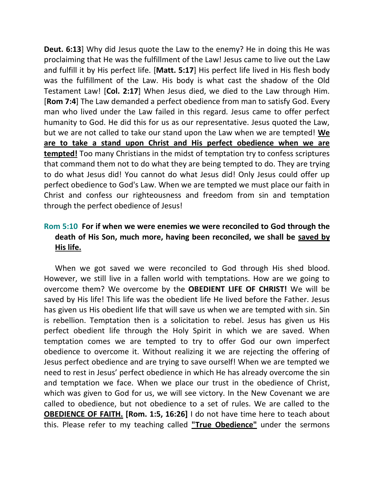**Deut. 6:13**] Why did Jesus quote the Law to the enemy? He in doing this He was proclaiming that He was the fulfillment of the Law! Jesus came to live out the Law and fulfill it by His perfect life. [**Matt. 5:17**] His perfect life lived in His flesh body was the fulfillment of the Law. His body is what cast the shadow of the Old Testament Law! [**Col. 2:17**] When Jesus died, we died to the Law through Him. [**Rom 7:4**] The Law demanded a perfect obedience from man to satisfy God. Every man who lived under the Law failed in this regard. Jesus came to offer perfect humanity to God. He did this for us as our representative. Jesus quoted the Law, but we are not called to take our stand upon the Law when we are tempted! **We are to take a stand upon Christ and His perfect obedience when we are tempted!** Too many Christians in the midst of temptation try to confess scriptures that command them not to do what they are being tempted to do. They are trying to do what Jesus did! You cannot do what Jesus did! Only Jesus could offer up perfect obedience to God's Law. When we are tempted we must place our faith in Christ and confess our righteousness and freedom from sin and temptation through the perfect obedience of Jesus!

# **Rom 5:10 For if when we were enemies we were reconciled to God through the death of His Son, much more, having been reconciled, we shall be saved by His life.**

When we got saved we were reconciled to God through His shed blood. However, we still live in a fallen world with temptations. How are we going to overcome them? We overcome by the **OBEDIENT LIFE OF CHRIST!** We will be saved by His life! This life was the obedient life He lived before the Father. Jesus has given us His obedient life that will save us when we are tempted with sin. Sin is rebellion. Temptation then is a solicitation to rebel. Jesus has given us His perfect obedient life through the Holy Spirit in which we are saved. When temptation comes we are tempted to try to offer God our own imperfect obedience to overcome it. Without realizing it we are rejecting the offering of Jesus perfect obedience and are trying to save ourself! When we are tempted we need to rest in Jesus' perfect obedience in which He has already overcome the sin and temptation we face. When we place our trust in the obedience of Christ, which was given to God for us, we will see victory. In the New Covenant we are called to obedience, but not obedience to a set of rules. We are called to the **OBEDIENCE OF FAITH. [Rom. 1:5, 16:26]** I do not have time here to teach about this. Please refer to my teaching called **"True Obedience"** under the sermons